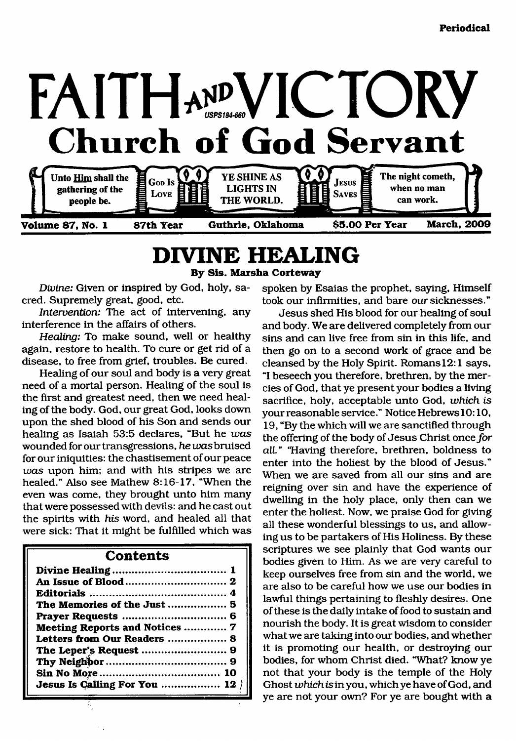

# <span id="page-0-0"></span>**DIVINE HEALING**

**By Sis. Marsha Corteway**

*Divine:* Given or inspired by God, holy, sacred. Supremely great, good, etc.

*Intervention:* The act of intervening, any interference in the affairs of others.

*Healing:* To make sound, well or healthy again, restore to health. To cure or get rid of a disease, to free from grief, troubles. Be cured.

Healing of our soul and body is a very great need of a mortal person. Healing of the soul is the first and greatest need, then we need healing of the body. God, our great God, looks down upon the shed blood of his Son and sends our healing as Isaiah 53:5 declares, "But he *was* wounded for our transgressions, *he was* bruised for our iniquities: the chastisement of our peace *was* upon him; and with his stripes we are healed." Also see Mathew 8:16-17, "When the even was come, they brought unto him many that were possessed with devils: and he cast out the spirits with *his* word, and healed all that were sick: That it might be fulfilled which was

#### **Contents**

| The Memories of the Just  5           |  |
|---------------------------------------|--|
|                                       |  |
| <b>Meeting Reports and Notices  7</b> |  |
| Letters from Our Readers  8           |  |
|                                       |  |
|                                       |  |
|                                       |  |
| Jesus Is Calling For You  12          |  |
|                                       |  |

spoken by Esaias the prophet, saying, Himself took our infirmities, and bare our sicknesses."

Jesus shed His blood for our healing of soul and body. We are delivered completely from our sins and can live free from sin in this life, and then go on to a second work of grace and be cleansed by the Holy Spirit. Romans 12:1 says, "I beseech you therefore, brethren, by the mercies of God, that ye present your bodies a living sacrifice, holy, acceptable unto God, *which is* your reasonable service." Notice HebrewslO: 10, 19, "By the which will we are sanctified through the offering of the body of Jesus Christ once for *all."* "Having therefore, brethren, boldness to enter into the holiest by the blood of Jesus." When we are saved from all our sins and are reigning over sin and have the experience of dwelling in the holy place, only then can we enter the holiest. Now, we praise God for giving all these wonderful blessings to us, and allowing us to be partakers of His Holiness. By these scriptures we see plainly that God wants our bodies given to Him. As we are very careful to keep ourselves free from sin and the world, we are also to be careful how we use our bodies in lawful things pertaining to fleshly desires. One of these is the daily intake of food to sustain and nourish the body. It is great wisdom to consider what we are taking into our bodies, and whether it is promoting our health, or destroying our bodies, for whom Christ died. "What? know ye not that your body is the temple of the Holy Ghost *which is* in you, which ye have of God, and ye are not your own? For ye are bought with a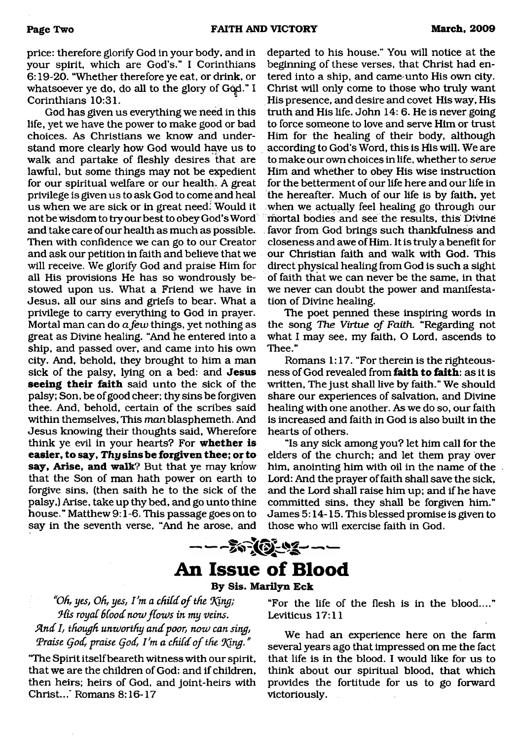price: therefore glorify God in your body, and in your spirit, which are God's." I Corinthians 6:19-20, "Whether therefore ye eat, or drink, or whatsoever ye do, do all to the glory of God." I Corinthians 10:31.

God has given us everything we need in this life, yet we have the power to make good or bad choices. As Christians we know and understand more clearly how God would have us to walk and partake of fleshly desires that are lawful, but some things may not be expedient for our spiritual welfare or our health. A great privilege is given us to ask God to come and heal us when we are sick or in great need. Would it not be wisdom to try our best to obey God's Word and take care of our health as much as possible. Then with confidence we can go to our Creator and ask our petition in faith and believe that we will receive. We glorify God and praise Him for all His provisions He has so wondrously bestowed upon us. What a Friend we have in Jesus, all our sins and griefs to bear. What a privilege to carry everything to God in prayer. Mortal man can do *a few* things, yet nothing as great as Divine healing. "And he entered into a ship, and passed over, and came into his own city. And, behold, they brought to him a man sick of the palsy, lying on a bed: and **Jesus seeing their faith** said unto the sick of the palsy; Son, be of good cheer; thy sins be forgiven thee. And, behold, certain of the scribes said within themselves, This *man* blasphemeth. And Jesus knowing their thoughts said. Wherefore think ye evil in your hearts? For **whether is easier, to say,** *Thy* **sins be forgiven thee; or to say, Arise, and walk?** But that ye may know that the Son of man hath power on earth to forgive sins, (then saith he to the sick of the palsy,) Arise, take up thy bed, and go unto thine house." Matthew 9:1-6. This passage goes on to say in the seventh verse, "And he arose, and

departed to his house." You will notice at the beginning of these verses, that Christ had entered into a ship, and came-unto His own city. Christ will only come to those who truly want His presence, and desire and covet His way, His truth and His life. John 14: 6. He is never going to force someone to love and serve Him or trust Him for the healing of their body, although according to God's Word, this is His will. We are to make our own choices in life, whether to *serve* Him and whether to obey His wise instruction for the betterment of our life here and our life in the hereafter. Much of our life is by faith, yet when we actually feel healing go through our mortal bodies and see the results, this Divine favor from God brings such thankfulness and closeness and awe of Him. It is truly a benefit for our Christian faith and walk with God. This direct physical healing from God is such a sight of faith that we can never be the same, in that we never can doubt the power and manifestation of Divine healing.

The poet penned these inspiring words in the song *The Virtue of Faith.* "Regarding not what I may see, my faith, O Lord, ascends to Thee."

Romans 1:17. "For therein is the righteousness of God revealed from **faith to faith:** as it is written, The just shall live by faith." We should share our experiences of salvation, and Divine healing with one another. As we do so, our faith is increased and faith in God is also built in the hearts of others.

"Is any sick among you? let him call for the elders of the church; and let them pray over him, anointing him with oil in the name of the Lord: And the prayer of faith shall save the sick, and the Lord shall raise him up; and if he have committed sins, they shall be forgiven him." James 5:14-15. This blessed promise is given to those who will exercise faith in God.

# **An Issue of Blood**

#### **By Sis. Marilyn Eck**

*"Oh, yes, Oh, yes, I'm a child o f the "King; His royal blood now flows in my veins. find I, though unworthy and poor, now can sing,* Praise God, praise God, I'm a child of the King."

"The Spirit itself beareth witness with our spirit, that we are the children of God: and if children, then heirs; heirs of God, and joint-heirs with Christ..." Romans 8:16-17

"For the life of the flesh is in the blood...." Leviticus 17:11

We had an experience here on the farm several years ago that impressed on me the fact that life is in the blood. I would like for us to think about our spiritual blood, that which provides the fortitude for us to go forward victoriously.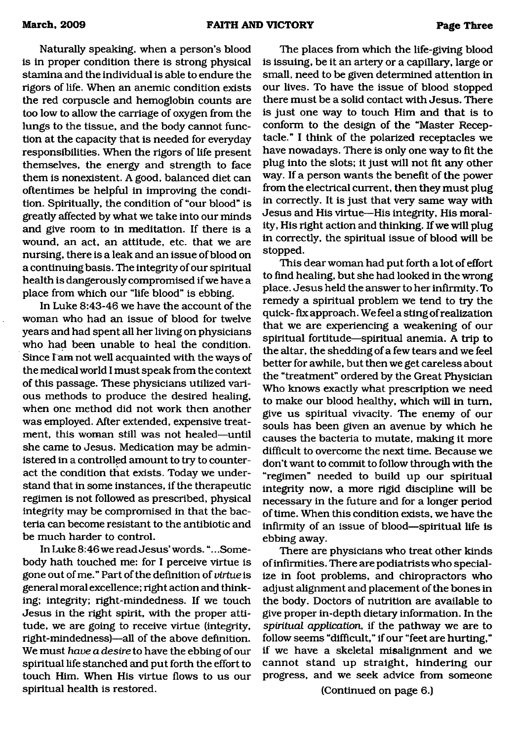Naturally speaking, when a person's blood is in proper condition there is strong physical stamina and the individual is able to endure the rigors of life. When an anemic condition exists the red corpuscle and hemoglobin counts are too low to allow the carriage of oxygen from the lungs to the tissue, and the body cannot function at the capacity that is needed for everyday responsibilities. When the rigors of life present themselves, the energy and strength to face them is nonexistent. A good, balanced diet cam oftentimes be helpful in improving the condition. Spirituadly, the condition of "our blood" is greatly affected by what we take into our minds and give room to in meditation. If there is a wound, am act, an attitude, etc. that we are nursing, there is a leak and an issue of blood on a continuing basis. The integrity of our spiritual health is dangerously compromised if we have a place from which our "life blood" is ebbing.

In Luke 8:43-46 we have the account of the woman who had an issue of blood for twelve years amd had spent adl her living on physicians who had been unable to heal the condition. Since I am not well acquainted with the ways of the medical world I must speak from the context of this passage. These physicians utilized various methods to produce the desired healing, when one method did not work then another was employed. After extended, expensive treatment, this woman still was not healed—until she came to Jesus. Medication may be administered in a controlled amount to try to counteract the condition that exists. Today we understand that in some instances, if the therapeutic regimen is not followed as prescribed, physical integrity may be compromised in that the bacteria can become resistant to the antibiotic and be much harder to control.

In Luke 8:46 we read Jesus' words. ".. .Somebody hath touched me: for I perceive virtue is gone out of me." Part of the definition of *virtue* is general moral excellence; right action and thinking; integrity; right-mindedness. If we touch Jesus in the right spirit, with the proper attitude, we are going to receive virtue (integrity, right-mindedness)—all of the above definition. We must *have a desire* to have the ebbing of our spiritual life stanched and put forth the effort to touch Him. When His virtue flows to us our spiritual health is restored.

The places from which the life-giving blood is issuing, be it an artery or a capillary, large or small, need to be given determined attention in our lives. To have the issue of blood stopped there must be a solid contact with Jesus. There is just one way to touch Him and that is to conform to the design of the "Master Receptacle." I think of the polarized receptacles we have nowadays. There is only one way to fit the plug into the slots; it just will not fit any other way. If a person wants the benefit of the power from the electrical current, then they must plug in correctly. It is just that very same way with Jesus and His virtue—His integrity, His morality, His right action and thinking. If we will plug in correctly, the spiritual issue of blood will be stopped.

This dear woman had put forth a lot of effort to find healing, but she had looked in the wrong place. Jesus held the answer to her infirmity. To remedy a spiritual problem we tend to try the quick- fix approach. We feel a sting of realization that we are experiencing a weakening of our spiritual fortitude—spiritual anemia. A trip to the altar, the shedding of a few tears and we feel better for awhile, but then we get careless about the "treatment" ordered by the Great Physician Who knows exactly what prescription we need to make our blood healthy, which will in turn, give us spiritual vivacity. The enemy of our souls has been given an avenue by which he causes the bacteria to mutate, making it more difficult to overcome the next time. Because we don't want to commit to follow through with the "regimen" needed to build up our spiritual integrity now, a more rigid discipline will be necessary in the future and for a longer period of time. When this condition exists, we have the infirmity of an issue of blood—spiritual life is ebbing away.

There are physicians who treat other kinds of infirmities. There are podiatrists who specialize in foot problems, and chiropractors who adjust alignment and placement of the bones in the body. Doctors of nutrition are available to give proper in-depth dietary information. In the *spiritual application,* if the pathway we are to follow seems "difficult," if our "feet are hurting," if we have a skeletal misalignment and we cannot stand up straight, hindering our progress, and we seek advice from someone

(Continued on page 6.)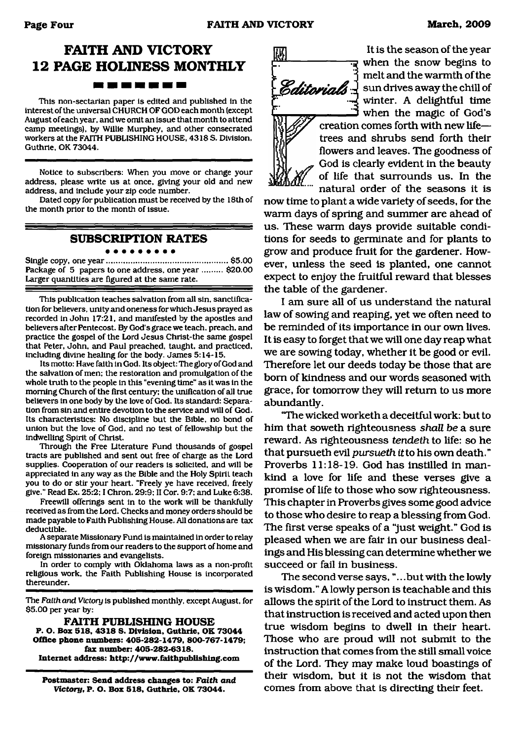### **FAITH AND VICTORY 12 PAGE HOLINESS MONTHLY 1982 1983 1984 1985 1986 1986 1986 1986**

This non-sectarian paper is edited and published in the interest of the universal CHURCH OF GOD each month (except August of each year, and we omit an issue that month to attend camp meetings), by Willie Murphey, and other consecrated workers at the FAITH PUBLISHING HOUSE, 4318 S. Division, Guthrie, OK 73044.

Notice to subscribers: When you move or change your address, please write us at once, giving your old and new address, and include your zip code number.

Dated copy for publication must be received by the 18th of the month prior to the month of issue.

#### **SUBSCRIPTION RATES**

. . . . . . . . .

Single copy, one year......................................................\$5.00 Package of 5 papers to one address, one year ......... \$20.00 Larger quantities are figured at the same rate.

This publication teaches salvation from all sin, sanctification for believers, unity and oneness for which Jesus prayed as recorded in John 17:21, and manifested by the apostles and believers after Pentecost. By God's grace we teach, preach, and practice the gospel of the Lord Jesus Christ-the same gospel that Peter, John, and Paul preached, taught, and practiced, including divine healing for the body. James 5:14-15.

Its motto: Have faith in God. Its object: The glory of God and the salvation of men: the restoration and promulgation of the whole truth to the people in this "evening time" as it was in the morning Church of the first century: the unification of all true believers in one body by the love of God. Its standard: Separation from sin and entire devotion to the service and will of God. Its characteristics: No discipline but the Bible, no bond of union but the love of God, and no test of fellowship but the indwelling Spirit of Christ.

Through the Free Literature Fund thousands of gospel tracts are published and sent out free of charge as the Lord supplies. Cooperation of our readers is solicited, and will be appreciated in any way as the Bible and the Holy Spirit teach you to do or stir your heart. "Freely ye have received, freely give." Read Ex. 25:2; I Chron. 29:9: II Cor. 9:7: and Luke 6:38.

Freewill offerings sent in to the work will be thankfully received as from the Lord. Checks and money orders should be made payable to Faith Publishing House. All donations are tax deductible.

A separate Missionary Fund is maintained in order to relay missionary funds from our readers to the support of home and foreign missionaries and evangelists.

In order to comply with Oklahoma laws as a non-profit religious work, the Faith Publishing House is incorporated thereunder.

The Faith and *Victory* is published monthly, except August, for \$5.00 per year by:

**FAITH PUBLISHING HOUSE P. O. Box 518, 4318 S. Division, Guthrie, OK 73044 Office phone numbers: 405-282-1479, 800-767-1479; fax number: 405-282-6318. Internet address: <http://www.fidthpublishing.com>**

**Postmaster: Send address changes to:** *Faith and Victory.* **P. O. Box 518, Guthrie, OK 73044.**



*<i>Editorials*  $\pm$  sun drives away the chill of It is the season of the year when the snow begins to melt and the warmth of the winter. A delightful time when the magic of God's creation comes forth with new life trees and shrubs send forth their flowers and leaves. The goodness of God is clearly evident in the beauty of life that surrounds us. In the natural order of the seasons it is

now time to plant a wide variety of seeds, for the warm days of spring and summer are ahead of us. These warm days provide suitable conditions for seeds to germinate and for plants to grow and produce fruit for the gardener. However, unless the seed is planted, one cannot expect to enjoy the fruitful reward that blesses the table of the gardener.

I am sure all of us understand the natural law of sowing and reaping, yet we often need to be reminded of its importance in our own lives. It is easy to forget that we will one day reap what we are sowing today, whether it be good or evil. Therefore let our deeds today be those that are bom of kindness and our words seasoned with grace, for tomorrow they will return to us more abundantly.

"The wicked worketh a deceitful work: but to him that soweth righteousness *shall be* a sure reward. As righteousness *tendeth* to life: so he that pursueth evil *pursueth it* to his own death." Proverbs 11:18-19. God has instilled in mankind a love for life and these verses give a promise of life to those who sow righteousness. This chapter in Proverbs gives some good advice to those who desire to reap a blessing from God. The first verse speaks of a "just weight." God is pleased when we are fair in our business dealings and His blessing can determine whether we succeed or fail in business.

The second verse says, ".. .but with the lowly is wisdom." A lowly person is teachable and this allows the spirit of the Lord to instruct them. As that instruction is received and acted upon then true wisdom begins to dwell in their heart. Those who are proud will not submit to the instruction that comes from the still small voice of the Lord. They may make loud boastings of their wisdom, but it is not the wisdom that comes from above that is directing their feet.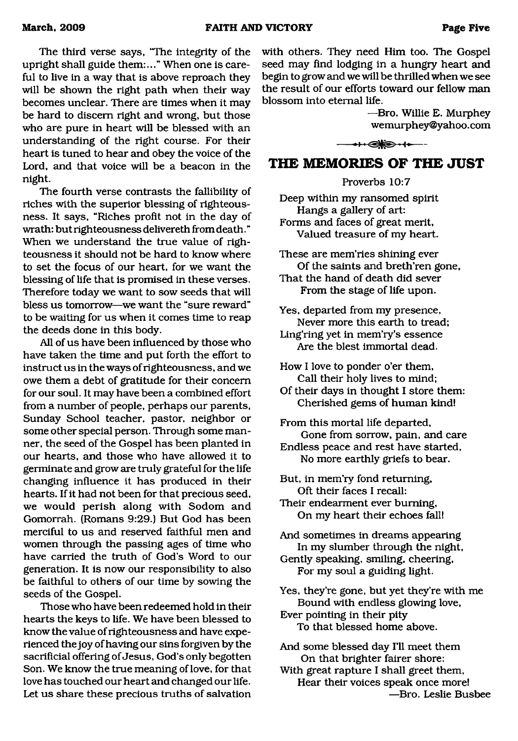The third verse says, "The integrity of the upright shall guide them:..." When one is careful to live in a way that is above reproach they will be shown the right path when their way becomes unclear. There are times when it may be hard to discern right and wrong, but those who are pure in heart will be blessed with an understanding of the right course. For their heart is tuned to hear and obey the voice of the Lord, and that voice will be a beacon in the night.

The fourth verse contrasts the fallibility of riches with the superior blessing of righteousness. It says, "Riches profit not in the day of wrath: but righteousness delivereth from death." When we understand the true value of righteousness it should not be hard to know where to set the focus of our heart, for we want the blessing of life that is promised in these verses. Therefore today we want to sow seeds that will bless us tomorrow—we want the "sure reward" to be waiting for us when it comes time to reap the deeds done in this body.

All of us have been influenced by those who have taken the time and put forth the effort to instruct us in the ways of righteousness, and we owe them a debt of gratitude for their concern for our soul. It may have been a combined effort from a number of people, perhaps our parents, Sunday School teacher, pastor, neighbor or some other special person. Through some manner, the seed of the Gospel has been planted in our hearts, and those who have allowed it to germinate and grow are truly grateful for the life changing influence it has produced in their hearts. If it had not been for that precious seed, we would perish along with Sodom and Gomorrah. (Romans 9:29.) But God has been merciful to us and reserved faithful men and women through the passing ages of time who have carried the truth of God's Word to our generation. It is now our responsibility to also be faithful to others of our time by sowing the seeds of the Gospel.

Those who have been redeemed hold in their hearts the keys to life. We have been blessed to know the value of righteousness and have experienced the joy of having our sins forgiven by the sacrificial offering of Jesus, God's only begotten Son. We know the true meaning of love, for that love has touched our heart and changed our life. Let us share these precious truths of salvation with others. They need Him too. The Gospel seed may find lodging in a hungry heart and begin to grow and we will be thrilled when we see the result of our efforts toward our fellow man blossom into eternal life.

> —Bro. Willie E. Murphey [wemurphey@yahoo.com](mailto:wemurphey@yahoo.com)

### $\leftrightarrow$

#### <span id="page-4-0"></span>**THE MEMORIES OF THE JUST**

Proverbs 10:7

Deep within my ransomed spirit Hangs a gallery of art: Forms and faces of great merit, Valued treasure of my heart.

These are mem'ries shining ever Of the saints and breth'ren gone, That the hand of death did sever From the stage of life upon. Yes, departed from my presence, Never more this earth to tread; Ling'ring yet in mem'ry's essence Are the blest immortal dead. How I love to ponder o'er them. Call their holy lives to mind; Of their days in thought I store them: Cherished gems of human kind! From this mortal life departed. Gone from sorrow, pain, and care Endless peace and rest have started, No more earthly griefs to bear. But, in mem'ry fond returning. Oft their faces I recall:

Their endearment ever burning, On my heart their echoes fall!

And sometimes in dreams appearing In my slumber through the night,

Gently speaking, smiling, cheering, For my soul a guiding light.

Yes, they're gone, but yet they're with me Bound with endless glowing love, Ever pointing in their pity

To that blessed home above.

And some blessed day I'll meet them On that brighter fairer shore:

With great rapture I shall greet them, Hear their voices speak once more! —Bro. Leslie Busbee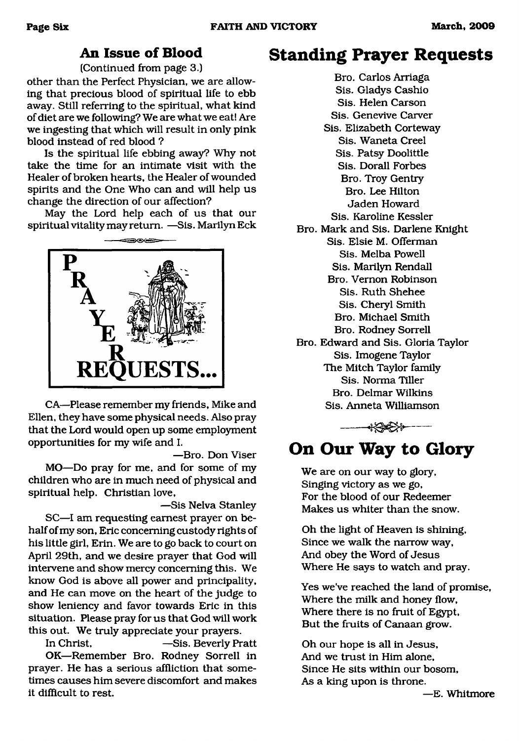### **An Issue of Blood**

(Continued from page 3.)

<span id="page-5-0"></span>other than the Perfect Physician, we are allowing that precious blood of spiritual life to ebb away. Still referring to the spiritual, what kind of diet are we following? We are what we eat! Are we ingesting that which will result in only pink blood instead of red blood ?

Is the spiritual life ebbing away? Why not take the time for an intimate visit with the Healer of broken hearts, the Healer of wounded spirits and the One Who can and will help us change the direction of our affection?

May the Lord help each of us that our spiritual vitality may return. —Sis. Marilyn Eck



CA—Please remember my friends, Mike and Ellen, they have some physical needs. Also pray that the Lord would open up some employment opportunities for my wife and I.

—Bro. Don Viser MO—Do pray for me, and for some of my children who are in much need of physical and spiritual help. Christian love,

—Sis Nelva Stanley SC—I am requesting earnest prayer on behalf of my son, Eric concerning custody rights of his little girl, Erin. We are to go back to court on April 29th, and we desire prayer that God will intervene and show mercy concerning this. We know God is above all power and principality, and He can move on the heart of the judge to show leniency and favor towards Eric in this situation. Please pray for us that God will work this out. We truly appreciate your prayers.

In Christ, —Sis. Beverly Pratt OK—Remember Bro. Rodney Sorrell in prayer. He has a serious affliction that sometimes causes him severe discomfort and makes it difficult to rest.

## **Standing Prayer Requests**

Bro. Carlos Arriaga Sis. Gladys Cashio Sis. Helen Carson Sis. Genevive Carver Sis. Elizabeth Corteway Sis. Waneta Creel Sis. Patsy Doolittle Sis. Dorall Forbes Bro. Troy Gentry Bro. Lee Hilton Jaden Howard Sis. Karoline Kessler Bro. Mark and Sis. Darlene Knight Sis. Elsie M. Offerman Sis. Melba Powell Sis. Marilyn Rendall Bro. Vernon Robinson Sis. Ruth Shehee Sis. Cheryl Smith Bro. Michael Smith Bro. Rodney Sorrell Bro. Edward and Sis. Gloria Taylor Sis. Imogene Taylor The Mitch Taylor family Sis. Norma Tiller Bro. Delmar Wilkins Sis. Anneta Williamson

**←←←←←←←**←

## **On Our Way to Glory**

We are on our way to glory, Singing victory as we go, For the blood of our Redeemer Makes us whiter than the snow.

Oh the light of Heaven is shining, Since we walk the narrow way, And obey the Word of Jesus Where He says to watch and pray.

Yes we've reached the land of promise, Where the milk and honey flow, Where there is no fruit of Egypt, But the fruits of Canaan grow.

Oh our hope is all in Jesus, And we trust in Him alone, Since He sits within our bosom, As a king upon is throne.

—E. Whitmore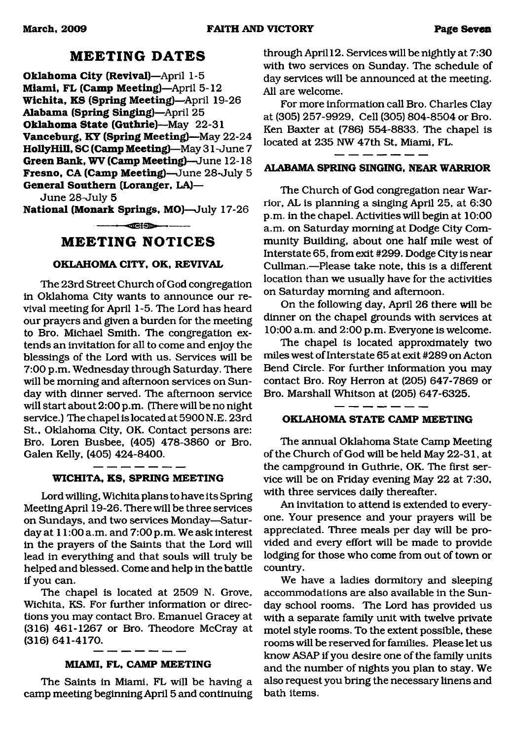#### **M EETING DATES**

**Oklahoma City (Revival)**—April 1-5 **Miami, FL (Camp Meeting)**—April 5-12 **W ichita, KS (Spring Meeting)**—April 19-26 **Alabama (Spring Singing)**—April 25 **Oklahoma State (Guthrie)**—May 22-31 **Vanceburg, KY (Spring Meeting)**—May 22-24 **HollyHill, SC (Camp Meeting)**—May 31 - June 7 **Green Bank, WV (Camp Meeting)**—June 12-18 **Fresno, CA (Camp Meeting)**—June 28-July 5 **General Southern (Loranger, LA)—**

June 28-July 5

**National (Monark Springs, MO)**—July 17-26

 $\overline{\text{eff}}$ 

### **M EETING NOTICES**

#### **OKLAHOMA CITY, OK, REVIVAL**

The 23rd Street Church of God congregation in Oklahoma City wants to announce our revival meeting for April 1-5. The Lord has heard our prayers and given a burden for the meeting to Bro. Michael Smith. The congregation extends an invitation for all to come and enjoy the blessings of the Lord with us. Services will be 7:00 p.m. Wednesday through Saturday. There will be morning and afternoon services on Sunday with dinner served. The afternoon service will start about 2:00 p.m. (There will be no night service.) The chapel is located at 5900 N.E. 23rd St., Oklahoma City, OK. Contact persons are: Bro. Loren Busbee, (405) 478-3860 or Bro. Galen Kelly, (405) 424-8400.

**WICHITA, KS, SPRING MEETING**

Lord willing, Wichita plans to have its Spring Meeting April 19-26. There will be three services on Sundays, and two services Monday—Saturday at 11:00 a.m. and 7:00 p.m. We ask interest in the prayers of the Saints that the Lord will lead in everything and that souls will truly be helped and blessed. Come and help in the battle if you can.

The chapel is located at 2509 N. Grove, Wichita, KS. For further information or directions you may contact Bro. Emanuel Gracey at (316) 461-1267 or Bro. Theodore McCray at (316) 641-4170.

#### **MIAMI, FL, CAMP MEETING**

The Saints in Miami, FL will be having a camp meeting beginning April 5 and continuing through Aprill2. Services will be nightly at 7:30 with two services on Sunday. The schedule of day services will be announced at the meeting. All are welcome.

For more information call Bro. Charles Clay at (305) 257-9929, Cell (305) 804-8504 or Bro. Ken Baxter at (786) 554-8833. The chapel is located at 235 NW 47th St, Miami, FL.

#### **ALABAMA SPRING SINGING, NEAR WARRIOR**

The Church of God congregation near Warrior, AL is planning a singing April 25, at 6:30 p.m. in the chapel. Activities will begin at 10:00 a.m. on Saturday morning at Dodge City Community Building, about one half mile west of Interstate 65, from exit #299. Dodge City is near Cullman.—Please take note, this is a different location than we usually have for the activities on Saturday morning and afternoon.

On the following day, April 26 there will be dinner on the chapel grounds with services at 10:00 a.m. and 2:00 p.m. Everyone is welcome.

The chapel is located approximately two miles west of Interstate 65 at exit #289 on Acton Bend Circle. For further information you may contact Bro. Roy Herron at (205) 647-7869 or Bro. Marshall Whitson at (205) 647-6325.

#### **OKLAHOMA STATE CAMP MEETING**

The annual Oklahoma State Camp Meeting of the Church of God will be held May 22-31, at the campground in Guthrie, OK. The first service will be on Friday evening May 22 at 7:30, with three services daily thereafter.

An invitation to attend is extended to everyone. Your presence and your prayers will be appreciated. Three meals per day will be provided and every effort will be made to provide lodging for those who come from out of town or country.

We have a ladies dormitory and sleeping accommodations are also available in the Sunday school rooms. The Lord has provided us with a separate family unit with twelve private motel style rooms. To the extent possible, these rooms will be reserved for families. Please let us know ASAP if you desire one of the family units and the number of nights you plan to stay. We also request you bring the necessary linens and bath items.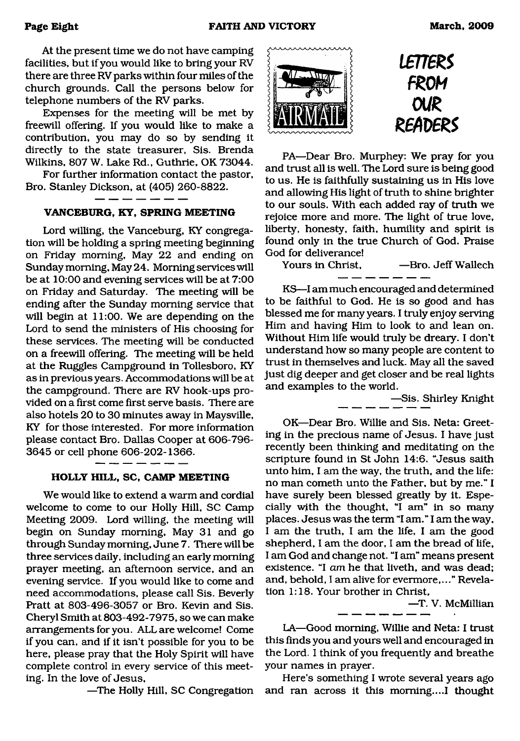At the present time we do not have camping facilities, but if you would like to bring your RV there are three RV parks within four miles of the church grounds. Call the persons below for telephone numbers of the RV parks.

Expenses for the meeting will be met by freewill offering. If you would like to make a contribution, you may do so by sending it directly to the state treasurer, Sis. Brenda Wilkins, 807 W. Lake Rd., Guthrie, OK 73044.

For further information contact the pastor, Bro. Stanley Dickson, at (405) 260-8822.

#### **VANCEBURG, KY, SPRING MEETING**

Lord willing, the Vanceburg, KY congregation will be holding a spring meeting beginning on Friday morning, May 22 and ending on Sunday morning, May 24. Morning services will be at 10:00 and evening services will be at 7:00 on Friday and Saturday. The meeting will be ending after the Sunday morning service that will begin at 11:00. We are depending on the Lord to send the ministers of His choosing for these services. The meeting will be conducted on a freewill offering. The meeting will be held at the Ruggles Campground in Tollesboro, KY as in previous years. Accommodations will be at the campground. There are RV hook-ups provided on a first come first serve basis. There are also hotels 20 to 30 minutes away in Maysville, KY for those interested. For more information please contact Bro. Dallas Cooper at 606-796- 3645 or cell phone 606-202-1366.

#### **HOLLY HILL, SC, CAMP MEETING**

We would like to extend a warm and cordial welcome to come to our Holly Hill, SC Camp Meeting 2009. Lord willing, the meeting will begin on Sunday morning, May 31 and go through Sunday morning, June 7. There will be three services daily, including an early morning prayer meeting, an afternoon service, and an evening service. If you would like to come and need accommodations, please call Sis. Beverly Pratt at 803-496-3057 or Bro. Kevin and Sis. Cheryl Smith at 803-492-7975, so we can make arrangements for you. ALL are welcome! Come if you can, and if it isn't possible for you to be here, please pray that the Holy Spirit will have complete control in every service of this meeting. In the love of Jesus,

—The Holly Hill, SC Congregation



PA—Dear Bro. Murphey: We pray for you and trust all is well. The Lord sure is being good to us. He is faithfully sustaining us in His love and allowing His light of truth to shine brighter to our souls. With each added ray of truth we rejoice more and more. The light of true love, liberty, honesty, faith, humility and spirit is found only in the true Church of God. Praise God for deliverance!<br>Yours in Christ,

-Bro. Jeff Wallech

KS—I am much encouraged and determined to be faithful to God. He is so good and has blessed me for many years. I truly enjoy serving Him and having Him to look to and lean on. Without Him life would truly be dreary. I don't understand how so many people are content to trust in themselves and luck. May all the saved just dig deeper and get closer and be real lights and examples to the world.

—Sis. Shirley Knight

OK—Dear Bro. Willie and Sis. Neta: Greeting in the precious name of Jesus. I have just recently been thinking and meditating on the scripture found in St John 14:6. "Jesus saith unto him, I am the way, the truth, and the life: no man cometh unto the Father, but by me." I have surely been blessed greatly by it. Especially with the thought, "I am" in so many places. Jesus was the term "I am." I am the way, I am the truth, I am the life, I am the good shepherd, I am the door, I am the bread of life, I am God and change not. "I am" means present existence. "I *am* he that liveth, and was dead; and, behold, I am alive for evermore,..." Revelation 1:18. Your brother in Christ,

—T. V. McMillian

LA—Good morning, Willie and Neta: I trust this finds you and yours well and encouraged in the Lord. I think of you frequently and breathe your names in prayer.

Here's something I wrote several years ago and ran across it this morning....! thought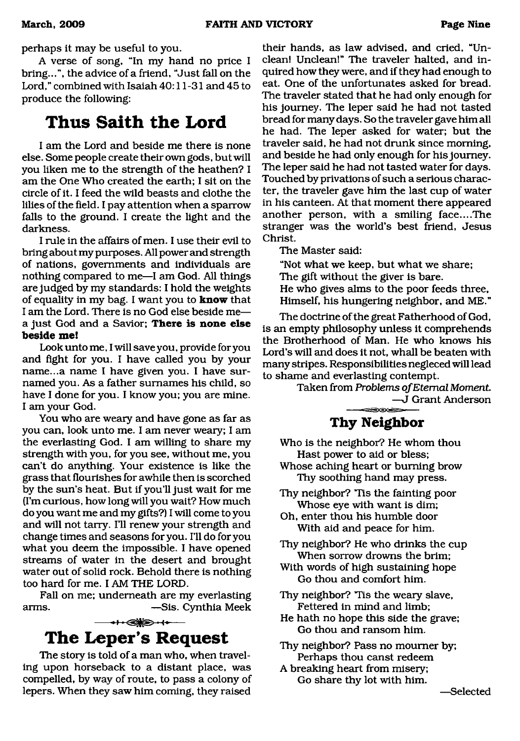perhaps it may be useful to you.

A verse of song, "In my hand no price I bring...", the advice of a friend, "Just fall on the Lord," combined with Isaiah 40:11-31 and 45 to produce the following:

## **Thus Saith the Lord**

I am the Lord and beside me there is none else. Some people create their own gods, but will you liken me to the strength of the heathen? I am the One Who created the earth; I sit on the circle of it. I feed the wild beasts and clothe the lilies of the field. I pay attention when a sparrow falls to the ground. I create the light and the darkness.

I rule in the affairs of men. I use their evil to bring about my purposes. All power and strength of nations, governments and individuals are nothing compared to me—I am God. All things are judged by my standards: I hold the weights of equality in my bag. I want you to **know** that I am the Lord. There is no God else beside me a just God and a Savior; **There is none else beside me!**

Look unto me, I will save you, provide for you and fight for you. I have called you by your name...a name I have given you. I have surnamed you. As a father surnames his child, so have I done for you. I know you; you are mine. I am your God.

You who are weary and have gone as far as you can, look unto me. I am never weary; I am the everlasting God. I am willing to share my strength with you, for you see, without me, you can't do anything. Your existence is like the grass that flourishes for awhile then is scorched by the sun's heat. But if you'll just wait for me (I'm curious, how long will you wait? How much do you want me and my gifts?) I will come to you and will not tarry. I'll renew your strength and change times and seasons for you. I'll do for you what you deem the impossible. I have opened streams of water in the desert and brought water out of solid rock. Behold there is nothing too hard for me. I AM THE LORD.

Fall on me; underneath are my everlasting arms. — — — — Sis. Cynthia Meek



<span id="page-8-0"></span>The story is told of a man who, when traveling upon horseback to a distant place, was compelled, by way of route, to pass a colony of lepers. When they saw him coming, they raised

their hands, as law advised, and cried, "Unclean! Unclean!" The traveler halted, and inquired how they were, and if they had enough to eat. One of the unfortunates asked for bread. The traveler stated that he had only enough for his journey. The leper said he had not tasted bread for many days. So the traveler gave him all he had. The leper asked for water; but the traveler said, he had not drunk since morning, and beside he had only enough for his journey. The leper said he had not tasted water for days. Touched by privations of such a serious character, the traveler gave him the last cup of water in his canteen. At that moment there appeared another person, with a smiling face....The stranger was the world's best friend, Jesus Christ.

The Master said:

"Not what we keep, but what we share;

- The gift without the giver is bare.
- He who gives alms to the poor feeds three, Himself, his hungering neighbor, and ME."

The doctrine of the great Fatherhood of God, is an empty philosophy unless it comprehends the Brotherhood of Man. He who knows his Lord's will and does it not, whall be beaten with many stripes. Responsibilities negleced will lead to shame and everlasting contempt.

<span id="page-8-1"></span>Taken from *Problems of Eternal Moment* —J Grant Anderson

### **Thy Neighbor**

- Who is the neighbor? He whom thou Hast power to aid or bless;
- Whose aching heart or burning brow Thy soothing hand may press.
- Thy neighbor? Tis the fainting poor Whose eye with want is dim;
- Oh, enter thou his humble door With aid and peace for him.
- Thy neighbor? He who drinks the cup When sorrow drowns the brim;
- With words of high sustaining hope Go thou and comfort him.
- Thy neighbor? Tis the weary slave, Fettered in mind and limb;
- He hath no hope this side the grave; Go thou and ransom him.
- Thy neighbor? Pass no mourner by; Perhaps thou canst redeem
- A breaking heart from misery; Go share thy lot with him.

—Selected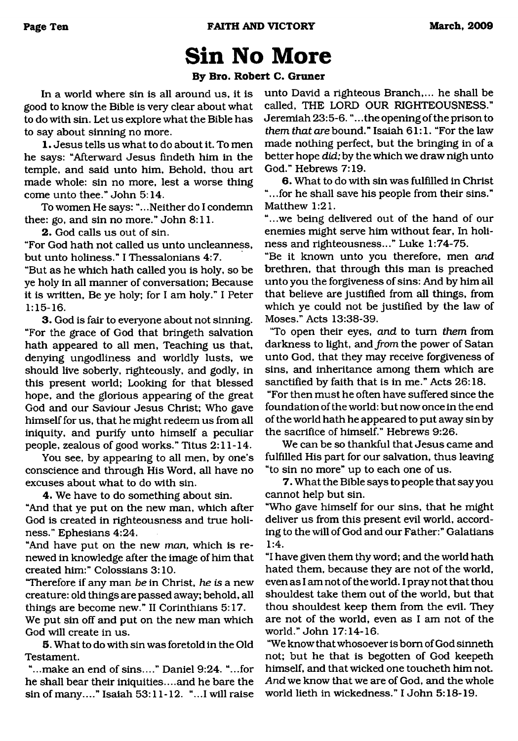# <span id="page-9-0"></span>**Sin No More**

#### **By Bro. Robert C. Gruner**

In a world where sin is all around us, it is good to know the Bible is very clear about what to do with sin. Let us explore what the Bible has to say about sinning no more.

1. Jesus tells us what to do about it. To men he says: "Afterward Jesus findeth him in the temple, and said unto him. Behold, thou art made whole: sin no more, lest a worse thing come unto thee." John 5:14.

To women He says: ".. .Neither do I condemn thee: go, and sin no more." John 8:11.

**2.** God calls us out of sin.

"For God hath not called us unto uncleanness, but unto holiness." I Thessalonians 4:7.

"But as he which hath called you is holy, so be ye holy in all manner of conversation; Because it is written, Be ye holy; for I am holy." I Peter 1:15-16.

**3.** God is fair to everyone about not sinning. "For the grace of God that bringeth salvation hath appeared to all men, Teaching us that, denying ungodliness and worldly lusts, we should live soberly, righteously, and godly, in this present world; Looking for that blessed hope, and the glorious appearing of the great God and our Saviour Jesus Christ; Who gave himself for us, that he might redeem us from all iniquity, and purify unto himself a peculiar people, zealous of good works." Titus 2:11-14.

You see, by appearing to all men, by one's conscience and through His Word, all have no excuses about what to do with sin.

**4.** We have to do something about sin.

"And that ye put on the new man, which after God is created in righteousness and true holiness." Ephesians 4:24.

"And have put on the new *man,* which is renewed in knowledge after the image of him that created him:" Colossians 3:10.

"Therefore if any man *be* in Christ, *he is a* new creature: old things are passed away; behold, all things are become new." II Corinthians 5:17.

We put sin off and put on the new man which God will create in us.

5. What to do with sin was foretold in the Old Testament.

"...make an end of sins...." Daniel 9:24. "...for he shall bear their iniquities....and he bare the sin of many...." Isaiah 53:11-12. "...I will raise

unto David a righteous Branch,... he shall be called, THE LORD OUR RIGHTEOUSNESS." Jeremiah 23:5-6. ".. .the opening of the prison to *them that are* bound." Isaiah 61:1. "For the law made nothing perfect, but the bringing in of a better hope *did;* by the which we draw nigh unto God." Hebrews 7:19.

6. What to do with sin was fulfilled in Christ "...for he shall save his people from their sins." Matthew 1:21.

"...we being delivered out of the hand of our enemies might serve him without fear, In holiness and righteousness..." Luke 1:74-75.

"Be it known unto ycu therefore, men *and* brethren, that through this man is preached unto you the forgiveness of sins: And by him ail that believe are justified from all things, from which ye could not be justified by the law of Moses." Acts 13:38-39.

'To open their eyes, *and* to turn *them* from darkness to light, and *from* the power of Satan unto God, that they may receive forgiveness of sins, and inheritance among them which are sanctified by faith that is in me." Acts 26:18.

"For then must he often have suffered since the foundation of the world: but now once in the end of the world hath he appeared to put away sin by the sacrifice of himself." Hebrews 9:26.

We can be so thankful that Jesus came and fulfilled His part for our salvation, thus leaving "to sin no more" up to each one of us.

7. What the Bible says to people that say you cannot help but sin.

"Who gave himself for our sins, that he might deliver us from this present evil world, according to the will of God and our Father:" Galatians 1:4.

"I have given them thy word; and the world hath hated them, because they are not of the world, even as I am not of the world. I pray not that thou shouldest take them out of the world, but that thou shouldest keep them from the evil. They are not of the world, even as I am not of the world." John 17:14-16.

"We know that whosoever is bom of God sinneth not; but he that is begotten of God keepeth himself, and that wicked one toucheth him not. And we know that we are of God, and the whole world lieth in wickedness." I John 5:18-19.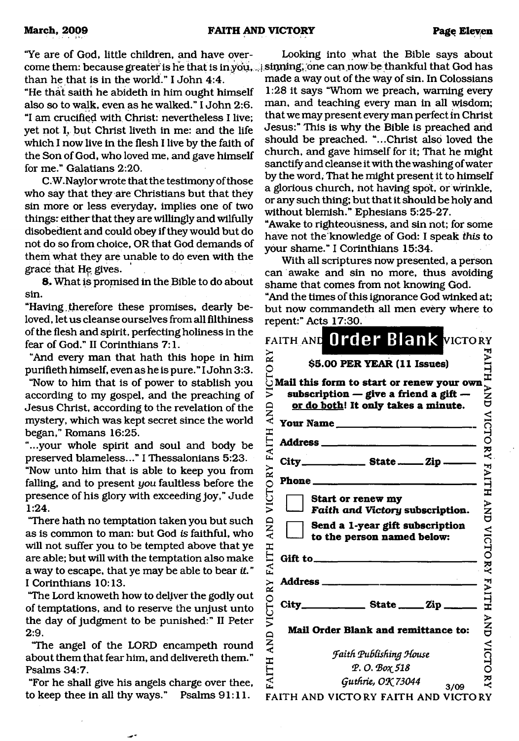"Ye are of God, little children, and have overcome them: because greater is he that is in you, ... sinning, one can now be thankful that God has than he that is in the world." I John 4:4.

"He that saith he abideth in him ought himself also so to walk, even as he walked." I John 2:6. "I am crucified with Christ: nevertheless I live; yet not I, but Christ liveth in me: and the life which I now live in the flesh I live by the faith of the Son of God, who loved me, and gave himself for me." Galatians 2:20.

C.W.Naylor wrote that the testimony of those who say that they are Christians but that they sin more or less everyday, implies one of two things: either that they are willingly and wilfully disobedient and could obey if they would but do not do so from choice, OR that God demands of them what they are unable to do even with the grace that He gives.

8. What is promised in the Bible to do about sin.

"Having .therefore these promises, dearly beloved, let us cleanse ourselves from all filthiness of the flesh and spirit, perfecting holiness in the fear of God." II Corinthians 7:1.

"And every man that hath this hope in him purifieth himself, even as he is pure." I John 3:3.

"Now to him that is of power to stablish you according to my gospel, and the preaching of Jesus Christ, according to the revelation of the mystery, which was kept secret since the world began," Romans 16:25.

"...your whole spirit and soul and body be preserved blameless..." I Thessalonians 5:23.

"Now unto him that is able to keep you from falling, and to present *you* faultless before the presence of his glory with exceeding joy," Jude 1:24.

"There hath no temptation taken you but such as is common to man: but God *is* faithful, who will not suffer you to be tempted above that ye are able; but will with the temptation also make a way to escape, that ye may be able to bear *it. "* I Corinthians 10:13.

"The Lord knoweth how to deliver the godly out of temptations, and to reserve the unjust unto the day of judgment to be punished:" II Peter 2:9.

"The angel of the LORD encampeth round about them that fear him, and delivereth them." Psalms 34:7.

"For he shall give his angels charge over thee, to keep thee in all thy ways." Psalms 91:11.

Looking into what the Bible says about

made a way out of the way of sin. In Colossians 1:28 it says "Whom we preach, warning every man, and teaching every man in all wisdom; that we may present every man perfect in Christ Jesus:" This is why the Bible is preached and should be preached. "...Christ also loved the church, and gave himself for it; That he might sanctify and cleanse it with the washing of water by the word, That he might present it to himself a glorious church, not having spot, or wrinkle, or any such thing; but that it should be holy and without blemish." Ephesians 5:25-27.

"Awake to righteousness, and sin not; for some have not the'knowledge of God: I speak *this* to your shame." I Corinthians 15:34.

With all scriptures now presented, a person can awake and sin no more, thus avoiding shame that comes from not knowing God.

"And the times of this ignorance God winked at; but now commandeth all men every where to repent:" Acts 17:30.

| FAITH                                                                                                                                                                                                                                                                                                                                                                  |
|------------------------------------------------------------------------------------------------------------------------------------------------------------------------------------------------------------------------------------------------------------------------------------------------------------------------------------------------------------------------|
| $\begin{array}{ll}\n\approx \\ \approx \\ \odot \\ \odot \\ \odot \\ \odot\n\end{array}$ \$5.00 PER YEAR (11 Issues)<br>$\odot$ Mail this form to start or renew your own<br>–<br>NN<br>U<br>subscription $-$ give a friend a gift $-$<br>or do both! It only takes a minute.<br><b>QXY</b><br><b>Your Name</b><br><u> 1989 - Jan Alexandro III, politik politik (</u> |
| <b>VICTORY</b><br>ITH<br>Address _______                                                                                                                                                                                                                                                                                                                               |
| $F\mathbf{A}$<br>City_<br>State ________ Zip _<br>FAITH                                                                                                                                                                                                                                                                                                                |
| VICTORY<br>Phone_<br>Start or renew my<br><b>AND</b><br>Faith and Victory subscription.                                                                                                                                                                                                                                                                                |
| AND<br>Send a 1-year gift subscription<br>VICTORY<br>to the person named below:                                                                                                                                                                                                                                                                                        |
| FAITH                                                                                                                                                                                                                                                                                                                                                                  |
| <b>Address</b> _<br>$\mathbf{\hat{x}}$                                                                                                                                                                                                                                                                                                                                 |
| FAITH<br>VICTO<br>City_<br>$\frac{1}{\sqrt{2}}$ State $\frac{1}{\sqrt{2}}$                                                                                                                                                                                                                                                                                             |
| }<br>N<br>D<br><b>Mail Order Blank and remittance to:</b><br>$\overline{A}$                                                                                                                                                                                                                                                                                            |
| VICTO<br>Faith Publishing House<br>AITH<br>Φ.Ο. Βοχ 518                                                                                                                                                                                                                                                                                                                |
| ž<br>Guthrie, OK 73044<br>3/09<br>FAITH AND VICTORY FAITH AND VICTORY                                                                                                                                                                                                                                                                                                  |